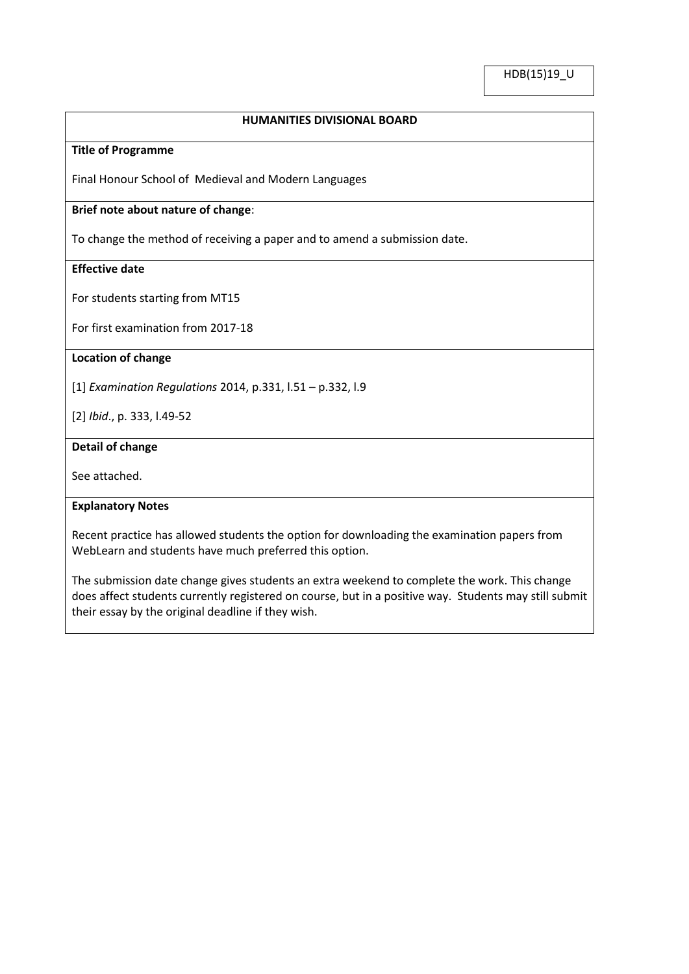### **HUMANITIES DIVISIONAL BOARD**

### **Title of Programme**

Final Honour School of Medieval and Modern Languages

## **Brief note about nature of change**:

To change the method of receiving a paper and to amend a submission date.

## **Effective date**

For students starting from MT15

For first examination from 2017-18

#### **Location of change**

[1] *Examination Regulations* 2014, p.331, l.51 – p.332, l.9

[2] *Ibid*., p. 333, l.49-52

#### **Detail of change**

See attached.

#### **Explanatory Notes**

Recent practice has allowed students the option for downloading the examination papers from WebLearn and students have much preferred this option.

The submission date change gives students an extra weekend to complete the work. This change does affect students currently registered on course, but in a positive way. Students may still submit their essay by the original deadline if they wish.